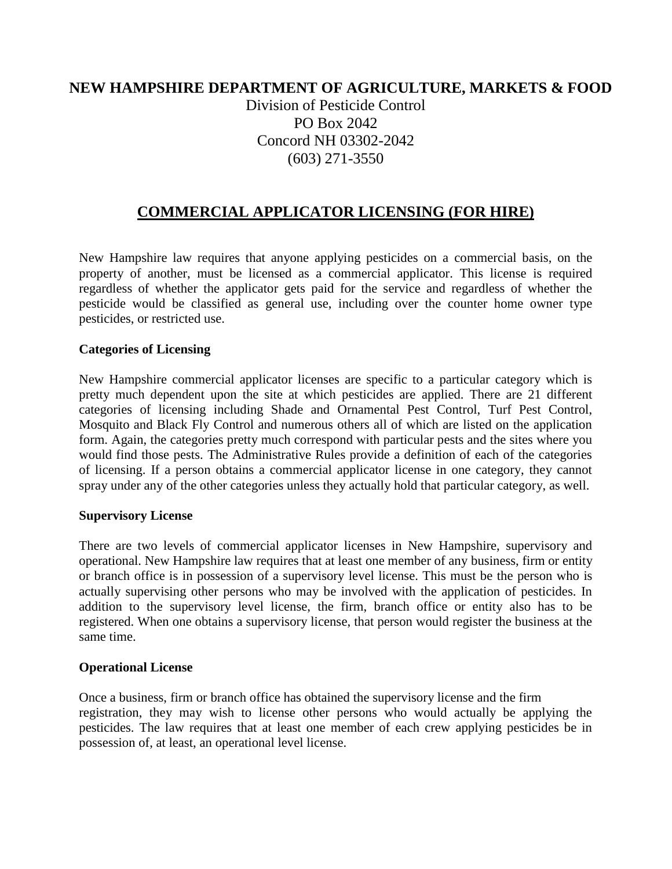# **NEW HAMPSHIRE DEPARTMENT OF AGRICULTURE, MARKETS & FOOD**

Division of Pesticide Control PO Box 2042 Concord NH 03302-2042 (603) 271-3550

# **COMMERCIAL APPLICATOR LICENSING (FOR HIRE)**

New Hampshire law requires that anyone applying pesticides on a commercial basis, on the property of another, must be licensed as a commercial applicator. This license is required regardless of whether the applicator gets paid for the service and regardless of whether the pesticide would be classified as general use, including over the counter home owner type pesticides, or restricted use.

#### **Categories of Licensing**

New Hampshire commercial applicator licenses are specific to a particular category which is pretty much dependent upon the site at which pesticides are applied. There are 21 different categories of licensing including Shade and Ornamental Pest Control, Turf Pest Control, Mosquito and Black Fly Control and numerous others all of which are listed on the application form. Again, the categories pretty much correspond with particular pests and the sites where you would find those pests. The Administrative Rules provide a definition of each of the categories of licensing. If a person obtains a commercial applicator license in one category, they cannot spray under any of the other categories unless they actually hold that particular category, as well.

#### **Supervisory License**

There are two levels of commercial applicator licenses in New Hampshire, supervisory and operational. New Hampshire law requires that at least one member of any business, firm or entity or branch office is in possession of a supervisory level license. This must be the person who is actually supervising other persons who may be involved with the application of pesticides. In addition to the supervisory level license, the firm, branch office or entity also has to be registered. When one obtains a supervisory license, that person would register the business at the same time.

### **Operational License**

Once a business, firm or branch office has obtained the supervisory license and the firm registration, they may wish to license other persons who would actually be applying the pesticides. The law requires that at least one member of each crew applying pesticides be in possession of, at least, an operational level license.